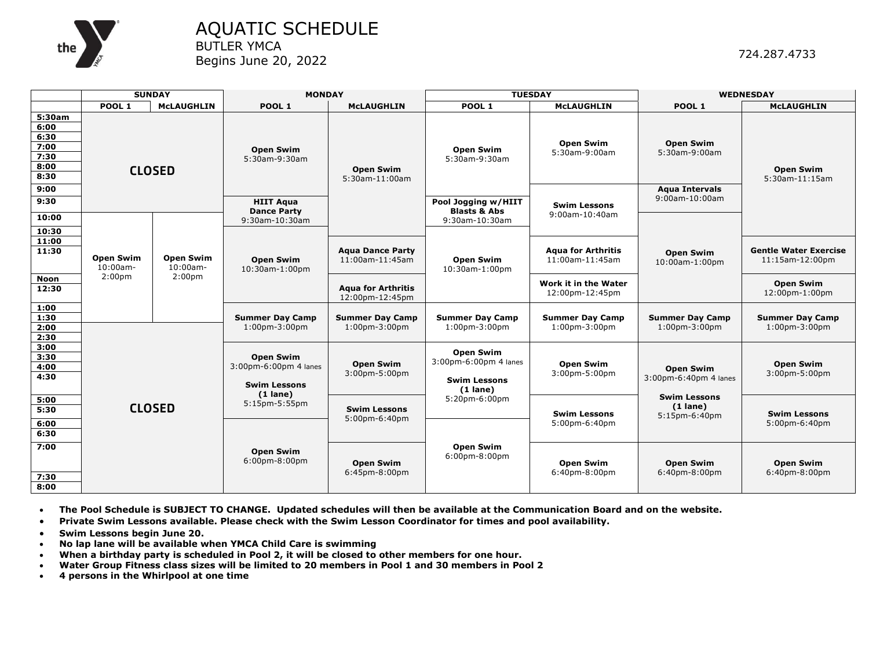

AQUATIC SCHEDULE BUTLER YMCA Begins June 20, 2022

|                                                        | <b>SUNDAY</b>                                         |                                                       | <b>MONDAY</b>                                                                  |                                              |                                                | <b>TUESDAY</b>                                 | <b>WEDNESDAY</b>                                   |                                                 |
|--------------------------------------------------------|-------------------------------------------------------|-------------------------------------------------------|--------------------------------------------------------------------------------|----------------------------------------------|------------------------------------------------|------------------------------------------------|----------------------------------------------------|-------------------------------------------------|
|                                                        | POOL <sub>1</sub>                                     | <b>MCLAUGHLIN</b>                                     | POOL 1                                                                         | <b>McLAUGHLIN</b>                            | POOL 1                                         | <b>McLAUGHLIN</b>                              | POOL 1                                             | <b>McLAUGHLIN</b>                               |
| 5:30am<br>6:00<br>6:30<br>7:00<br>7:30<br>8:00<br>8:30 | <b>CLOSED</b>                                         |                                                       | <b>Open Swim</b><br>5:30am-9:30am                                              | <b>Open Swim</b><br>5:30am-11:00am           | <b>Open Swim</b><br>5:30am-9:30am              | <b>Open Swim</b><br>5:30am-9:00am              | <b>Open Swim</b><br>5:30am-9:00am                  | <b>Open Swim</b><br>5:30am-11:15am              |
| 9:00<br>9:30                                           |                                                       |                                                       | <b>HIIT Agua</b><br><b>Dance Party</b>                                         |                                              | Pool Jogging w/HIIT<br><b>Blasts &amp; Abs</b> | <b>Swim Lessons</b><br>9:00am-10:40am          | <b>Aqua Intervals</b><br>9:00am-10:00am            |                                                 |
| 10:00<br>10:30<br>11:00                                | <b>Open Swim</b><br>$10:00$ am-<br>2:00 <sub>pm</sub> | <b>Open Swim</b><br>$10:00am -$<br>2:00 <sub>pm</sub> | $9:30$ am- $10:30$ am                                                          |                                              | 9:30am-10:30am                                 |                                                | <b>Open Swim</b><br>10:00am-1:00pm                 |                                                 |
| 11:30                                                  |                                                       |                                                       | <b>Open Swim</b><br>10:30am-1:00pm                                             | <b>Agua Dance Party</b><br>11:00am-11:45am   | <b>Open Swim</b><br>10:30am-1:00pm             | <b>Agua for Arthritis</b><br>11:00am-11:45am   |                                                    | <b>Gentle Water Exercise</b><br>11:15am-12:00pm |
| <b>Noon</b><br>12:30                                   |                                                       |                                                       |                                                                                | <b>Agua for Arthritis</b><br>12:00pm-12:45pm |                                                | Work it in the Water<br>12:00pm-12:45pm        |                                                    | <b>Open Swim</b><br>12:00pm-1:00pm              |
| 1:00<br>1:30<br>2:00<br>2:30                           |                                                       |                                                       | <b>Summer Day Camp</b><br>$1:00$ pm-3:00pm                                     | <b>Summer Day Camp</b><br>$1:00$ pm-3:00pm   | <b>Summer Day Camp</b><br>$1:00$ pm-3:00pm     | <b>Summer Day Camp</b><br>$1:00$ pm- $3:00$ pm | <b>Summer Day Camp</b><br>$1:00$ pm-3:00pm         | <b>Summer Day Camp</b><br>$1:00$ pm-3:00pm      |
| 3:00<br>3:30<br>4:00<br>4:30                           | <b>CLOSED</b>                                         |                                                       | <b>Open Swim</b><br>3:00pm-6:00pm 4 lanes<br><b>Swim Lessons</b><br>$(1$ lane) | <b>Open Swim</b><br>3:00pm-5:00pm            |                                                | <b>Open Swim</b><br>3:00pm-5:00pm              | <b>Open Swim</b><br>3:00pm-6:40pm 4 lanes          | <b>Open Swim</b><br>$3:00$ pm- $5:00$ pm        |
| 5:00<br>5:30<br>6:00<br>6:30                           |                                                       |                                                       | 5:15pm-5:55pm                                                                  | <b>Swim Lessons</b><br>5:00pm-6:40pm         | 5:20pm-6:00pm                                  | <b>Swim Lessons</b><br>5:00pm-6:40pm           | <b>Swim Lessons</b><br>$(1$ lane)<br>5:15pm-6:40pm | <b>Swim Lessons</b><br>5:00pm-6:40pm            |
| 7:00<br>7:30<br>8:00                                   |                                                       |                                                       | <b>Open Swim</b><br>$6:00$ pm- $8:00$ pm                                       | <b>Open Swim</b><br>6:45pm-8:00pm            | <b>Open Swim</b><br>$6:00$ pm-8:00pm           | <b>Open Swim</b><br>6:40pm-8:00pm              | <b>Open Swim</b><br>6:40pm-8:00pm                  | <b>Open Swim</b><br>6:40pm-8:00pm               |

• **The Pool Schedule is SUBJECT TO CHANGE. Updated schedules will then be available at the Communication Board and on the website.**

• **Private Swim Lessons available. Please check with the Swim Lesson Coordinator for times and pool availability.**

- **Swim Lessons begin June 20.**
- **No lap lane will be available when YMCA Child Care is swimming**
- **When a birthday party is scheduled in Pool 2, it will be closed to other members for one hour.**
- **Water Group Fitness class sizes will be limited to 20 members in Pool 1 and 30 members in Pool 2**
- **4 persons in the Whirlpool at one time**